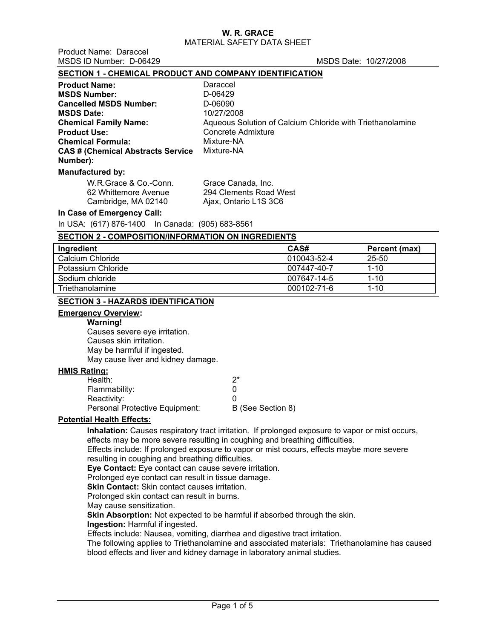Product Name: Daraccel MSDS ID Number: D-06429 MSDS Date: 10/27/2008

## **SECTION 1 - CHEMICAL PRODUCT AND COMPANY IDENTIFICATION**

| <b>Product Name:</b>                      | Daraccel                                                  |
|-------------------------------------------|-----------------------------------------------------------|
| <b>MSDS Number:</b>                       | D-06429                                                   |
| <b>Cancelled MSDS Number:</b>             | D-06090                                                   |
| <b>MSDS Date:</b>                         | 10/27/2008                                                |
| <b>Chemical Family Name:</b>              | Aqueous Solution of Calcium Chloride with Triethanolamine |
| <b>Product Use:</b>                       | Concrete Admixture                                        |
| <b>Chemical Formula:</b>                  | Mixture-NA                                                |
| <b>CAS # (Chemical Abstracts Service)</b> | Mixture-NA                                                |
| Number):                                  |                                                           |
| <b>Manufactured by:</b>                   |                                                           |

| W.R.Grace & Co.-Conn. | Grace Canada, Inc.     |
|-----------------------|------------------------|
| 62 Whittemore Avenue  | 294 Clements Road West |
| Cambridge, MA 02140   | Ajax, Ontario L1S 3C6  |

### **In Case of Emergency Call:**

In USA: (617) 876-1400 In Canada: (905) 683-8561

| <b>SECTION 2 - COMPOSITION/INFORMATION ON INGREDIENTS</b> |             |          |  |  |  |  |  |
|-----------------------------------------------------------|-------------|----------|--|--|--|--|--|
| CAS#<br>Ingredient<br>Percent (max)                       |             |          |  |  |  |  |  |
| Calcium Chloride                                          | 010043-52-4 | 25-50    |  |  |  |  |  |
| Potassium Chloride                                        | 007447-40-7 | $1 - 10$ |  |  |  |  |  |
| Sodium chloride                                           | 007647-14-5 | $1 - 10$ |  |  |  |  |  |
| Triethanolamine                                           | 000102-71-6 | $1 - 10$ |  |  |  |  |  |

# **SECTION 3 - HAZARDS IDENTIFICATION**

### **Emergency Overview:**

**Warning!**

Causes severe eye irritation. Causes skin irritation. May be harmful if ingested. May cause liver and kidney damage.

### **HMIS Rating:**

| Health:                        | ク*                |
|--------------------------------|-------------------|
| Flammability:                  |                   |
| Reactivity:                    |                   |
| Personal Protective Equipment: | B (See Section 8) |

### **Potential Health Effects:**

**Inhalation:** Causes respiratory tract irritation. If prolonged exposure to vapor or mist occurs, effects may be more severe resulting in coughing and breathing difficulties.

Effects include: If prolonged exposure to vapor or mist occurs, effects maybe more severe resulting in coughing and breathing difficulties.

**Eye Contact:** Eye contact can cause severe irritation.

Prolonged eye contact can result in tissue damage.

**Skin Contact:** Skin contact causes irritation.

Prolonged skin contact can result in burns.

May cause sensitization.

**Skin Absorption:** Not expected to be harmful if absorbed through the skin.

**Ingestion:** Harmful if ingested.

Effects include: Nausea, vomiting, diarrhea and digestive tract irritation.

The following applies to Triethanolamine and associated materials: Triethanolamine has caused blood effects and liver and kidney damage in laboratory animal studies.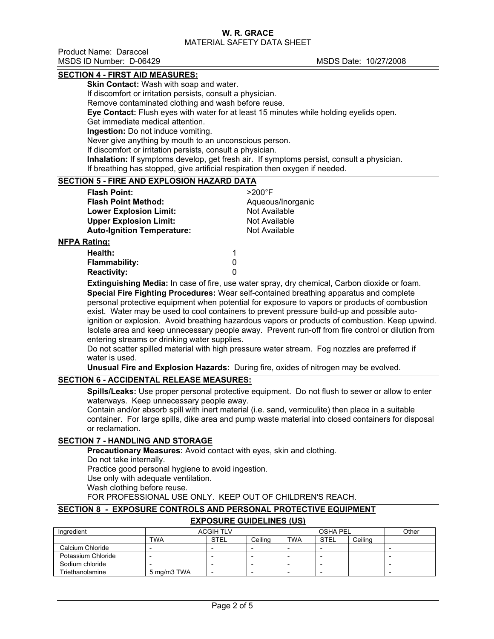Product Name: Daraccel MSDS ID Number: D-06429 MSDS Date: 10/27/2008

# **SECTION 4 - FIRST AID MEASURES:**

**Skin Contact:** Wash with soap and water. If discomfort or irritation persists, consult a physician. Remove contaminated clothing and wash before reuse. **Eye Contact:** Flush eyes with water for at least 15 minutes while holding eyelids open. Get immediate medical attention. **Ingestion:** Do not induce vomiting. Never give anything by mouth to an unconscious person. If discomfort or irritation persists, consult a physician. **Inhalation:** If symptoms develop, get fresh air. If symptoms persist, consult a physician. If breathing has stopped, give artificial respiration then oxygen if needed.

# **SECTION 5 - FIRE AND EXPLOSION HAZARD DATA**

| <b>Flash Point:</b>               | $>200^{\circ}$ F  |
|-----------------------------------|-------------------|
| <b>Flash Point Method:</b>        | Aqueous/Inorganic |
| <b>Lower Explosion Limit:</b>     | Not Available     |
| <b>Upper Explosion Limit:</b>     | Not Available     |
| <b>Auto-Ignition Temperature:</b> | Not Available     |
| <b>NFPA Rating:</b>               |                   |

### **Health:** 1 **Flammability:** 0 **Reactivity:** 0

**Extinguishing Media:** In case of fire, use water spray, dry chemical, Carbon dioxide or foam. **Special Fire Fighting Procedures:** Wear self-contained breathing apparatus and complete personal protective equipment when potential for exposure to vapors or products of combustion exist. Water may be used to cool containers to prevent pressure build-up and possible autoignition or explosion. Avoid breathing hazardous vapors or products of combustion. Keep upwind. Isolate area and keep unnecessary people away. Prevent run-off from fire control or dilution from entering streams or drinking water supplies.

Do not scatter spilled material with high pressure water stream. Fog nozzles are preferred if water is used.

**Unusual Fire and Explosion Hazards:** During fire, oxides of nitrogen may be evolved.

### **SECTION 6 - ACCIDENTAL RELEASE MEASURES:**

**Spills/Leaks:** Use proper personal protective equipment. Do not flush to sewer or allow to enter waterways. Keep unnecessary people away.

Contain and/or absorb spill with inert material (i.e. sand, vermiculite) then place in a suitable container. For large spills, dike area and pump waste material into closed containers for disposal or reclamation.

### **SECTION 7 - HANDLING AND STORAGE**

**Precautionary Measures:** Avoid contact with eyes, skin and clothing. Do not take internally. Practice good personal hygiene to avoid ingestion. Use only with adequate ventilation. Wash clothing before reuse. FOR PROFESSIONAL USE ONLY. KEEP OUT OF CHILDREN'S REACH.

### **SECTION 8 - EXPOSURE CONTROLS AND PERSONAL PROTECTIVE EQUIPMENT EXPOSURE GUIDELINES (US)**

| ------------------ |                  |             |                 |            |                          |         |  |  |  |
|--------------------|------------------|-------------|-----------------|------------|--------------------------|---------|--|--|--|
| Ingredient         | <b>ACGIH TLV</b> |             | <b>OSHA PEL</b> |            |                          | Other   |  |  |  |
|                    | <b>TWA</b>       | <b>STEL</b> | Ceiling         | <b>TWA</b> | <b>STEL</b>              | Ceiling |  |  |  |
| Calcium Chloride   |                  |             |                 |            |                          |         |  |  |  |
| Potassium Chloride |                  |             |                 |            | $\overline{\phantom{0}}$ |         |  |  |  |
| Sodium chloride    |                  |             |                 |            | $\overline{\phantom{0}}$ |         |  |  |  |
| Triethanolamine    | 5 mg/m3 TWA      |             |                 |            |                          |         |  |  |  |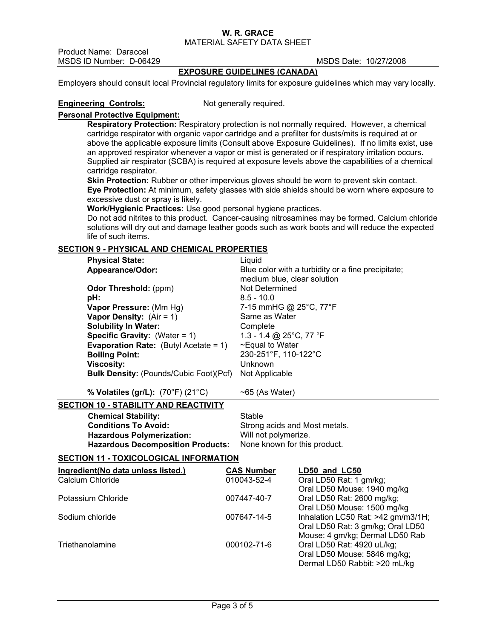# **W. R. GRACE**

MATERIAL SAFETY DATA SHEET

Product Name: Daraccel MSDS ID Number: D-06429 MSDS Date: 10/27/2008

# **EXPOSURE GUIDELINES (CANADA)**

Employers should consult local Provincial regulatory limits for exposure guidelines which may vary locally.

### **Engineering Controls:** Not generally required.

## **Personal Protective Equipment:**

**Respiratory Protection:** Respiratory protection is not normally required. However, a chemical cartridge respirator with organic vapor cartridge and a prefilter for dusts/mits is required at or above the applicable exposure limits (Consult above Exposure Guidelines). If no limits exist, use an approved respirator whenever a vapor or mist is generated or if respiratory irritation occurs. Supplied air respirator (SCBA) is required at exposure levels above the capabilities of a chemical cartridge respirator.

Skin Protection: Rubber or other impervious gloves should be worn to prevent skin contact. **Eye Protection:** At minimum, safety glasses with side shields should be worn where exposure to excessive dust or spray is likely.

**Work/Hygienic Practices:** Use good personal hygiene practices.

Do not add nitrites to this product. Cancer-causing nitrosamines may be formed. Calcium chloride solutions will dry out and damage leather goods such as work boots and will reduce the expected life of such items.

### **SECTION 9 - PHYSICAL AND CHEMICAL PROPERTIES**

| <b>Physical State:</b>                           | Liquid                                             |
|--------------------------------------------------|----------------------------------------------------|
| Appearance/Odor:                                 | Blue color with a turbidity or a fine precipitate; |
|                                                  | medium blue, clear solution                        |
| Odor Threshold: (ppm)                            | Not Determined                                     |
| pH:                                              | $8.5 - 10.0$                                       |
| Vapor Pressure: (Mm Hg)                          | 7-15 mmHG @ 25°C, 77°F                             |
| <b>Vapor Density:</b> $(Air = 1)$                | Same as Water                                      |
| <b>Solubility In Water:</b>                      | Complete                                           |
| <b>Specific Gravity:</b> (Water = $1$ )          | 1.3 - 1.4 @ 25°C, 77 °F                            |
| <b>Evaporation Rate:</b> (Butyl Acetate = $1$ )  | ~Equal to Water                                    |
| <b>Boiling Point:</b>                            | 230-251°F, 110-122°C                               |
| <b>Viscosity:</b>                                | Unknown                                            |
| <b>Bulk Density: (Pounds/Cubic Foot)(Pcf)</b>    | Not Applicable                                     |
|                                                  |                                                    |
| % Volatiles (gr/L): $(70^{\circ}F)(21^{\circ}C)$ | $\sim$ 65 (As Water)                               |
| <b>SECTION 10 - STABILITY AND REACTIVITY</b>     |                                                    |
| <b>Chemical Stability:</b>                       | Stable                                             |
| <b>Conditions To Avoid:</b>                      | Strong acids and Most metals.                      |
|                                                  |                                                    |

**Hazardous Polymerization:** Will not polymerize. **Hazardous Decomposition Products:** 

### **SECTION 11 - TOXICOLOGICAL INFORMATION**

| Ingredient(No data unless listed.) | <b>CAS Number</b> | LD50 and LC50                      |
|------------------------------------|-------------------|------------------------------------|
| Calcium Chloride                   | 010043-52-4       | Oral LD50 Rat: 1 gm/kg;            |
|                                    |                   | Oral LD50 Mouse: 1940 mg/kg        |
| Potassium Chloride                 | 007447-40-7       | Oral LD50 Rat: 2600 mg/kg;         |
|                                    |                   | Oral LD50 Mouse: 1500 mg/kg        |
| Sodium chloride                    | 007647-14-5       | Inhalation LC50 Rat: >42 gm/m3/1H; |
|                                    |                   | Oral LD50 Rat: 3 gm/kg; Oral LD50  |
|                                    |                   | Mouse: 4 gm/kg; Dermal LD50 Rab    |
| Triethanolamine                    | 000102-71-6       | Oral LD50 Rat: 4920 uL/kg;         |
|                                    |                   | Oral LD50 Mouse: 5846 mg/kg;       |
|                                    |                   | Dermal LD50 Rabbit: >20 mL/kg      |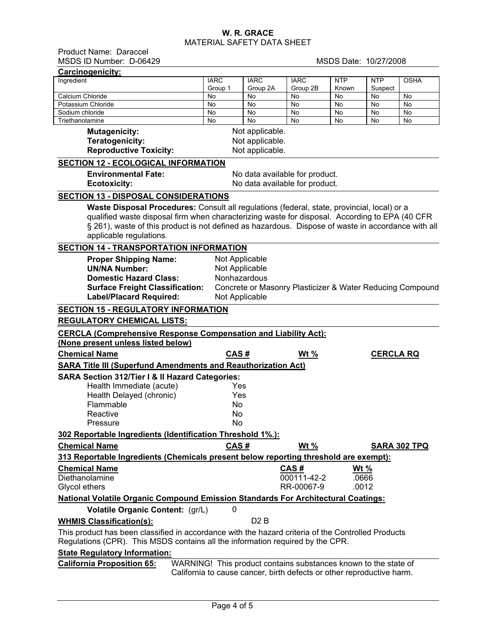Product Name: Daraccel MSDS ID Number: D-06429 MSDS Date: 10/27/2008

| Carcinogenicity:                                                                                                             |             |                 |                                                                                                                                          |             |                  |              |  |  |  |
|------------------------------------------------------------------------------------------------------------------------------|-------------|-----------------|------------------------------------------------------------------------------------------------------------------------------------------|-------------|------------------|--------------|--|--|--|
| Ingredient                                                                                                                   | <b>IARC</b> | <b>IARC</b>     | <b>IARC</b>                                                                                                                              | <b>NTP</b>  | <b>NTP</b>       | <b>OSHA</b>  |  |  |  |
| Calcium Chloride                                                                                                             | Group 1     | Group 2A<br>No  | Group 2B<br>No                                                                                                                           | Known<br>No | Suspect<br>No    | No           |  |  |  |
| Potassium Chloride                                                                                                           | No<br>No    | No              | No                                                                                                                                       | No          | No               | No           |  |  |  |
| Sodium chloride                                                                                                              | No          | No              | No                                                                                                                                       | No          | No               | No           |  |  |  |
| Triethanolamine                                                                                                              | No          | No              | No                                                                                                                                       | <b>No</b>   | No               | No           |  |  |  |
| <b>Mutagenicity:</b>                                                                                                         |             | Not applicable. |                                                                                                                                          |             |                  |              |  |  |  |
| Teratogenicity:                                                                                                              |             | Not applicable. |                                                                                                                                          |             |                  |              |  |  |  |
| <b>Reproductive Toxicity:</b>                                                                                                |             | Not applicable. |                                                                                                                                          |             |                  |              |  |  |  |
|                                                                                                                              |             |                 |                                                                                                                                          |             |                  |              |  |  |  |
| <b>SECTION 12 - ECOLOGICAL INFORMATION</b>                                                                                   |             |                 |                                                                                                                                          |             |                  |              |  |  |  |
| <b>Environmental Fate:</b><br>No data available for product.                                                                 |             |                 |                                                                                                                                          |             |                  |              |  |  |  |
| No data available for product.<br><b>Ecotoxicity:</b>                                                                        |             |                 |                                                                                                                                          |             |                  |              |  |  |  |
| <b>SECTION 13 - DISPOSAL CONSIDERATIONS</b>                                                                                  |             |                 |                                                                                                                                          |             |                  |              |  |  |  |
| Waste Disposal Procedures: Consult all regulations (federal, state, provincial, local) or a                                  |             |                 |                                                                                                                                          |             |                  |              |  |  |  |
| qualified waste disposal firm when characterizing waste for disposal. According to EPA (40 CFR                               |             |                 |                                                                                                                                          |             |                  |              |  |  |  |
| § 261), waste of this product is not defined as hazardous. Dispose of waste in accordance with all                           |             |                 |                                                                                                                                          |             |                  |              |  |  |  |
| applicable regulations.                                                                                                      |             |                 |                                                                                                                                          |             |                  |              |  |  |  |
| <b>SECTION 14 - TRANSPORTATION INFORMATION</b>                                                                               |             |                 |                                                                                                                                          |             |                  |              |  |  |  |
| <b>Proper Shipping Name:</b>                                                                                                 |             | Not Applicable  |                                                                                                                                          |             |                  |              |  |  |  |
| <b>UN/NA Number:</b>                                                                                                         |             | Not Applicable  |                                                                                                                                          |             |                  |              |  |  |  |
|                                                                                                                              |             |                 |                                                                                                                                          |             |                  |              |  |  |  |
| <b>Domestic Hazard Class:</b>                                                                                                |             | Nonhazardous    |                                                                                                                                          |             |                  |              |  |  |  |
| <b>Surface Freight Classification:</b>                                                                                       |             |                 | Concrete or Masonry Plasticizer & Water Reducing Compound                                                                                |             |                  |              |  |  |  |
| <b>Label/Placard Required:</b>                                                                                               |             | Not Applicable  |                                                                                                                                          |             |                  |              |  |  |  |
| <b>SECTION 15 - REGULATORY INFORMATION</b>                                                                                   |             |                 |                                                                                                                                          |             |                  |              |  |  |  |
| <b>REGULATORY CHEMICAL LISTS:</b>                                                                                            |             |                 |                                                                                                                                          |             |                  |              |  |  |  |
|                                                                                                                              |             |                 |                                                                                                                                          |             |                  |              |  |  |  |
| <b>CERCLA (Comprehensive Response Compensation and Liability Act):</b>                                                       |             |                 |                                                                                                                                          |             |                  |              |  |  |  |
| (None present unless listed below)                                                                                           |             |                 |                                                                                                                                          |             |                  |              |  |  |  |
|                                                                                                                              |             |                 |                                                                                                                                          |             |                  |              |  |  |  |
| <b>Chemical Name</b>                                                                                                         | CAS#        |                 | Wt $%$                                                                                                                                   |             | <b>CERCLA RQ</b> |              |  |  |  |
| <b>SARA Title III (Superfund Amendments and Reauthorization Act)</b>                                                         |             |                 |                                                                                                                                          |             |                  |              |  |  |  |
| <b>SARA Section 312/Tier I &amp; II Hazard Categories:</b>                                                                   |             |                 |                                                                                                                                          |             |                  |              |  |  |  |
| Health Immediate (acute)                                                                                                     |             | Yes             |                                                                                                                                          |             |                  |              |  |  |  |
| Health Delayed (chronic)                                                                                                     |             | Yes             |                                                                                                                                          |             |                  |              |  |  |  |
| Flammable                                                                                                                    | No          |                 |                                                                                                                                          |             |                  |              |  |  |  |
| Reactive                                                                                                                     | No          |                 |                                                                                                                                          |             |                  |              |  |  |  |
| Pressure                                                                                                                     | No          |                 |                                                                                                                                          |             |                  |              |  |  |  |
| 302 Reportable Ingredients (Identification Threshold 1%.):                                                                   |             |                 |                                                                                                                                          |             |                  |              |  |  |  |
| <b>Chemical Name</b>                                                                                                         | CAS#        |                 | Wt $%$                                                                                                                                   |             |                  | SARA 302 TPQ |  |  |  |
| 313 Reportable Ingredients (Chemicals present below reporting threshold are exempt):                                         |             |                 |                                                                                                                                          |             |                  |              |  |  |  |
| <b>Chemical Name</b>                                                                                                         |             |                 | CAS#                                                                                                                                     |             | Wt $%$           |              |  |  |  |
| Diethanolamine                                                                                                               |             |                 | 000111-42-2                                                                                                                              |             | .0666            |              |  |  |  |
| Glycol ethers                                                                                                                |             |                 | RR-00067-9                                                                                                                               |             | .0012            |              |  |  |  |
|                                                                                                                              |             |                 |                                                                                                                                          |             |                  |              |  |  |  |
| <b>National Volatile Organic Compound Emission Standards For Architectural Coatings:</b><br>Volatile Organic Content: (gr/L) | 0           |                 |                                                                                                                                          |             |                  |              |  |  |  |
|                                                                                                                              |             | D2B             |                                                                                                                                          |             |                  |              |  |  |  |
| <b>WHMIS Classification(s):</b>                                                                                              |             |                 |                                                                                                                                          |             |                  |              |  |  |  |
| This product has been classified in accordance with the hazard criteria of the Controlled Products                           |             |                 |                                                                                                                                          |             |                  |              |  |  |  |
| Regulations (CPR). This MSDS contains all the information required by the CPR.                                               |             |                 |                                                                                                                                          |             |                  |              |  |  |  |
| <b>State Regulatory Information:</b>                                                                                         |             |                 |                                                                                                                                          |             |                  |              |  |  |  |
| <b>California Proposition 65:</b>                                                                                            |             |                 | WARNING! This product contains substances known to the state of<br>California to cause cancer, birth defects or other reproductive harm. |             |                  |              |  |  |  |